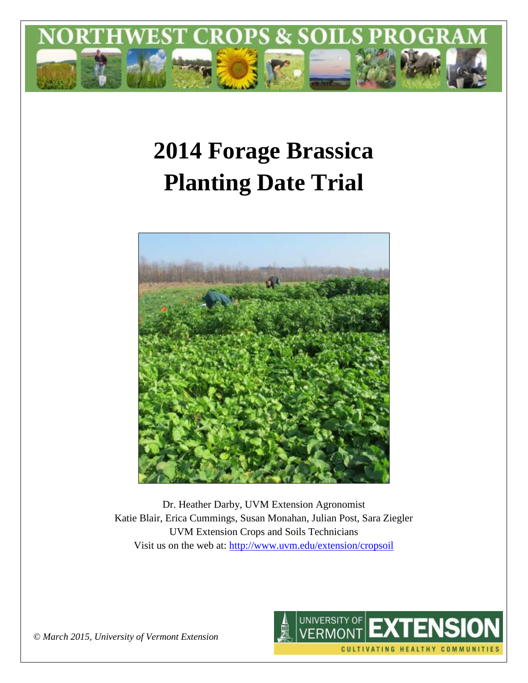

# **2014 Forage Brassica Planting Date Trial**



Dr. Heather Darby, UVM Extension Agronomist Katie Blair, Erica Cummings, Susan Monahan, Julian Post, Sara Ziegler UVM Extension Crops and Soils Technicians Visit us on the web at:<http://www.uvm.edu/extension/cropsoil>



*© March 2015, University of Vermont Extension*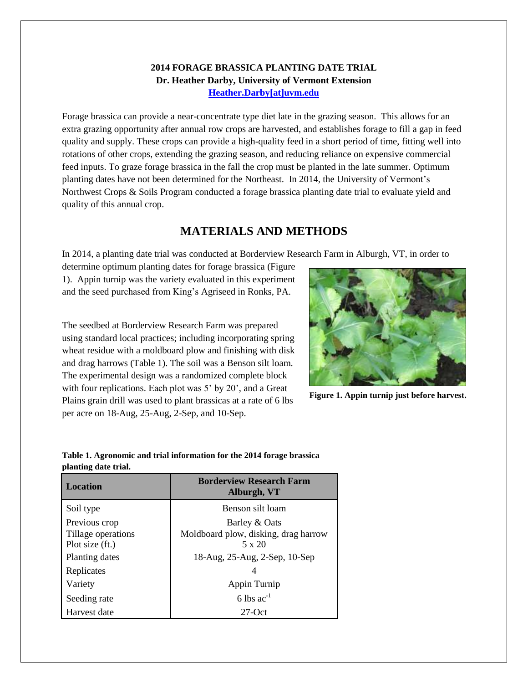### **2014 FORAGE BRASSICA PLANTING DATE TRIAL Dr. Heather Darby, University of Vermont Extension [Heather.Darby\[at\]uvm.edu](mailto:heather.darby@uvm.edu?subject=2012%20Forage%20Brassica%20Report)**

Forage brassica can provide a near-concentrate type diet late in the grazing season. This allows for an extra grazing opportunity after annual row crops are harvested, and establishes forage to fill a gap in feed quality and supply. These crops can provide a high-quality feed in a short period of time, fitting well into rotations of other crops, extending the grazing season, and reducing reliance on expensive commercial feed inputs. To graze forage brassica in the fall the crop must be planted in the late summer. Optimum planting dates have not been determined for the Northeast. In 2014, the University of Vermont's Northwest Crops & Soils Program conducted a forage brassica planting date trial to evaluate yield and quality of this annual crop.

# **MATERIALS AND METHODS**

In 2014, a planting date trial was conducted at Borderview Research Farm in Alburgh, VT, in order to

determine optimum planting dates for forage brassica (Figure 1). Appin turnip was the variety evaluated in this experiment and the seed purchased from King's Agriseed in Ronks, PA.

The seedbed at Borderview Research Farm was prepared using standard local practices; including incorporating spring wheat residue with a moldboard plow and finishing with disk and drag harrows (Table 1). The soil was a Benson silt loam. The experimental design was a randomized complete block with four replications. Each plot was 5' by 20', and a Great Plains grain drill was used to plant brassicas at a rate of 6 lbs per acre on 18-Aug, 25-Aug, 2-Sep, and 10-Sep.



**Figure 1. Appin turnip just before harvest.**

#### **Table 1. Agronomic and trial information for the 2014 forage brassica planting date trial.**

| <b>Location</b>    | <b>Borderview Research Farm</b><br>Alburgh, VT |  |  |  |
|--------------------|------------------------------------------------|--|--|--|
| Soil type          | Benson silt loam                               |  |  |  |
| Previous crop      | Barley & Oats                                  |  |  |  |
| Tillage operations | Moldboard plow, disking, drag harrow           |  |  |  |
| Plot size (ft.)    | $5 \times 20$                                  |  |  |  |
| Planting dates     | 18-Aug, 25-Aug, 2-Sep, 10-Sep                  |  |  |  |
| Replicates         | 4                                              |  |  |  |
| Variety            | Appin Turnip                                   |  |  |  |
| Seeding rate       | 6 lbs $ac^{-1}$                                |  |  |  |
| Harvest date       | $27$ -Oct                                      |  |  |  |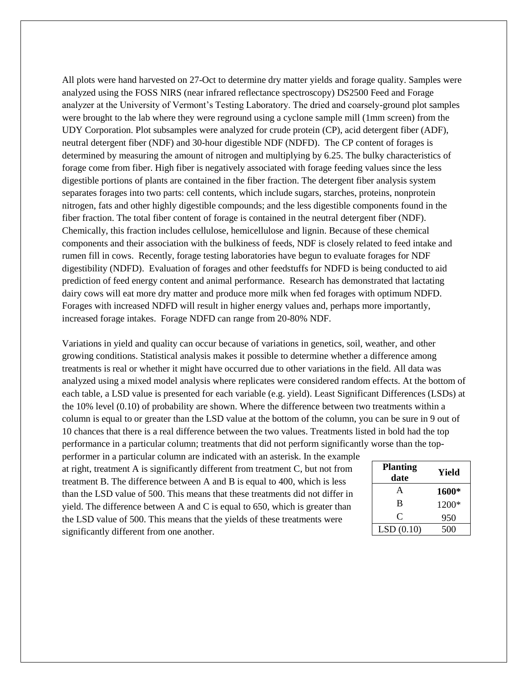All plots were hand harvested on 27-Oct to determine dry matter yields and forage quality. Samples were analyzed using the FOSS NIRS (near infrared reflectance spectroscopy) DS2500 Feed and Forage analyzer at the University of Vermont's Testing Laboratory. The dried and coarsely-ground plot samples were brought to the lab where they were reground using a cyclone sample mill (1mm screen) from the UDY Corporation. Plot subsamples were analyzed for crude protein (CP), acid detergent fiber (ADF), neutral detergent fiber (NDF) and 30-hour digestible NDF (NDFD). The CP content of forages is determined by measuring the amount of nitrogen and multiplying by 6.25. The bulky characteristics of forage come from fiber. High fiber is negatively associated with forage feeding values since the less digestible portions of plants are contained in the fiber fraction. The detergent fiber analysis system separates forages into two parts: cell contents, which include sugars, starches, proteins, nonprotein nitrogen, fats and other highly digestible compounds; and the less digestible components found in the fiber fraction. The total fiber content of forage is contained in the neutral detergent fiber (NDF). Chemically, this fraction includes cellulose, hemicellulose and lignin. Because of these chemical components and their association with the bulkiness of feeds, NDF is closely related to feed intake and rumen fill in cows. Recently, forage testing laboratories have begun to evaluate forages for NDF digestibility (NDFD). Evaluation of forages and other feedstuffs for NDFD is being conducted to aid prediction of feed energy content and animal performance. Research has demonstrated that lactating dairy cows will eat more dry matter and produce more milk when fed forages with optimum NDFD. Forages with increased NDFD will result in higher energy values and, perhaps more importantly, increased forage intakes. Forage NDFD can range from 20-80% NDF.

Variations in yield and quality can occur because of variations in genetics, soil, weather, and other growing conditions. Statistical analysis makes it possible to determine whether a difference among treatments is real or whether it might have occurred due to other variations in the field. All data was analyzed using a mixed model analysis where replicates were considered random effects. At the bottom of each table, a LSD value is presented for each variable (e.g. yield). Least Significant Differences (LSDs) at the 10% level (0.10) of probability are shown. Where the difference between two treatments within a column is equal to or greater than the LSD value at the bottom of the column, you can be sure in 9 out of 10 chances that there is a real difference between the two values. Treatments listed in bold had the top performance in a particular column; treatments that did not perform significantly worse than the top-

performer in a particular column are indicated with an asterisk. In the example at right, treatment A is significantly different from treatment C, but not from treatment B. The difference between A and B is equal to 400, which is less than the LSD value of 500. This means that these treatments did not differ in yield. The difference between A and C is equal to 650, which is greater than the LSD value of 500. This means that the yields of these treatments were significantly different from one another.

| <b>Planting</b><br>date | Yield |  |  |
|-------------------------|-------|--|--|
| A                       | 1600* |  |  |
| B                       | 1200* |  |  |
| C                       | 950   |  |  |
| LSD(0.10)               | 500   |  |  |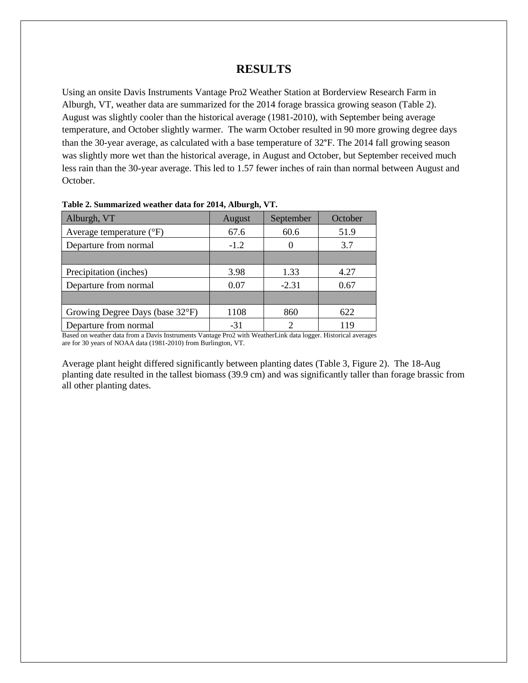#### **RESULTS**

Using an onsite Davis Instruments Vantage Pro2 Weather Station at Borderview Research Farm in Alburgh, VT, weather data are summarized for the 2014 forage brassica growing season (Table 2). August was slightly cooler than the historical average (1981-2010), with September being average temperature, and October slightly warmer. The warm October resulted in 90 more growing degree days than the 30-year average, as calculated with a base temperature of 32°F. The 2014 fall growing season was slightly more wet than the historical average, in August and October, but September received much less rain than the 30-year average. This led to 1.57 fewer inches of rain than normal between August and October.

| Alburgh, VT                         | August | September | October |  |  |  |
|-------------------------------------|--------|-----------|---------|--|--|--|
| Average temperature $({}^{\circ}F)$ | 67.6   | 60.6      | 51.9    |  |  |  |
| Departure from normal               | $-1.2$ |           | 3.7     |  |  |  |
|                                     |        |           |         |  |  |  |
| Precipitation (inches)              | 3.98   | 1.33      | 4.27    |  |  |  |
| Departure from normal               | 0.07   | $-2.31$   | 0.67    |  |  |  |
|                                     |        |           |         |  |  |  |
| Growing Degree Days (base 32°F)     | 1108   | 860       | 622     |  |  |  |
| Departure from normal               | $-31$  | っ         | 119     |  |  |  |

#### **Table 2. Summarized weather data for 2014, Alburgh, VT.**

Based on weather data from a Davis Instruments Vantage Pro2 with WeatherLink data logger. Historical averages are for 30 years of NOAA data (1981-2010) from Burlington, VT.

Average plant height differed significantly between planting dates (Table 3, Figure 2). The 18-Aug planting date resulted in the tallest biomass (39.9 cm) and was significantly taller than forage brassic from all other planting dates.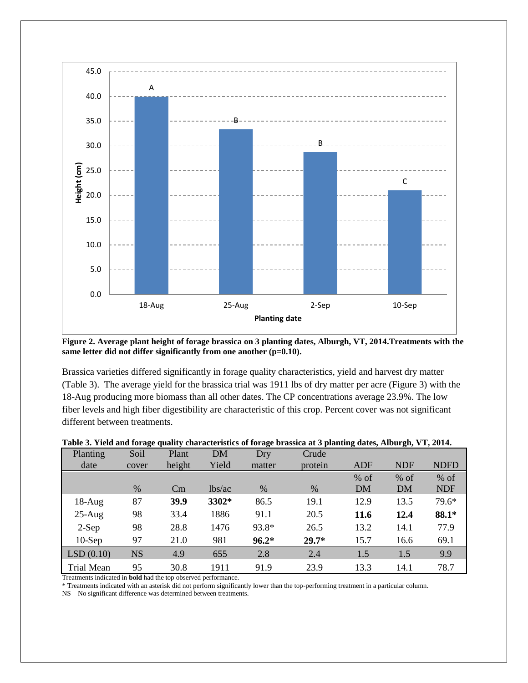

**Figure 2. Average plant height of forage brassica on 3 planting dates, Alburgh, VT, 2014.Treatments with the**  same letter did not differ significantly from one another (p=0.10).

Brassica varieties differed significantly in forage quality characteristics, yield and harvest dry matter (Table 3). The average yield for the brassica trial was 1911 lbs of dry matter per acre (Figure 3) with the 18-Aug producing more biomass than all other dates. The CP concentrations average 23.9%. The low fiber levels and high fiber digestibility are characteristic of this crop. Percent cover was not significant different between treatments.

|  | Table 3. Yield and forage quality characteristics of forage brassica at 3 planting dates, Alburgh, VT, 2014. |  |  |
|--|--------------------------------------------------------------------------------------------------------------|--|--|
|  |                                                                                                              |  |  |

| Planting          | Soil      | Plant  | DM     | Dry     | Crude   |        |            |             |
|-------------------|-----------|--------|--------|---------|---------|--------|------------|-------------|
| date              | cover     | height | Yield  | matter  | protein | ADF    | <b>NDF</b> | <b>NDFD</b> |
|                   |           |        |        |         |         | $%$ of | $%$ of     | $%$ of      |
|                   | $\%$      | Cm     | lbs/ac | $\%$    | %       | DM     | DM         | <b>NDF</b>  |
| $18-Aug$          | 87        | 39.9   | 3302*  | 86.5    | 19.1    | 12.9   | 13.5       | 79.6*       |
| $25-Aug$          | 98        | 33.4   | 1886   | 91.1    | 20.5    | 11.6   | 12.4       | 88.1*       |
| $2-Sep$           | 98        | 28.8   | 1476   | 93.8*   | 26.5    | 13.2   | 14.1       | 77.9        |
| $10-$ Sep         | 97        | 21.0   | 981    | $96.2*$ | $29.7*$ | 15.7   | 16.6       | 69.1        |
| LSD(0.10)         | <b>NS</b> | 4.9    | 655    | 2.8     | 2.4     | 1.5    | 1.5        | 9.9         |
| <b>Trial Mean</b> | 95        | 30.8   | 1911   | 91.9    | 23.9    | 13.3   | 14.1       | 78.7        |

Treatments indicated in **bold** had the top observed performance.

\* Treatments indicated with an asterisk did not perform significantly lower than the top-performing treatment in a particular column.

NS – No significant difference was determined between treatments.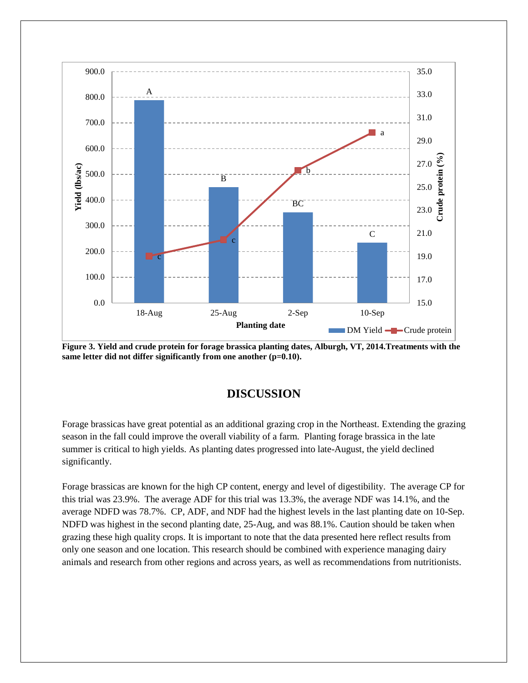

**Figure 3. Yield and crude protein for forage brassica planting dates, Alburgh, VT, 2014.Treatments with the same letter did not differ significantly from one another (p=0.10).**

## **DISCUSSION**

Forage brassicas have great potential as an additional grazing crop in the Northeast. Extending the grazing season in the fall could improve the overall viability of a farm. Planting forage brassica in the late summer is critical to high yields. As planting dates progressed into late-August, the yield declined significantly.

Forage brassicas are known for the high CP content, energy and level of digestibility. The average CP for this trial was 23.9%. The average ADF for this trial was 13.3%, the average NDF was 14.1%, and the average NDFD was 78.7%. CP, ADF, and NDF had the highest levels in the last planting date on 10-Sep. NDFD was highest in the second planting date, 25-Aug, and was 88.1%. Caution should be taken when grazing these high quality crops. It is important to note that the data presented here reflect results from only one season and one location. This research should be combined with experience managing dairy animals and research from other regions and across years, as well as recommendations from nutritionists.